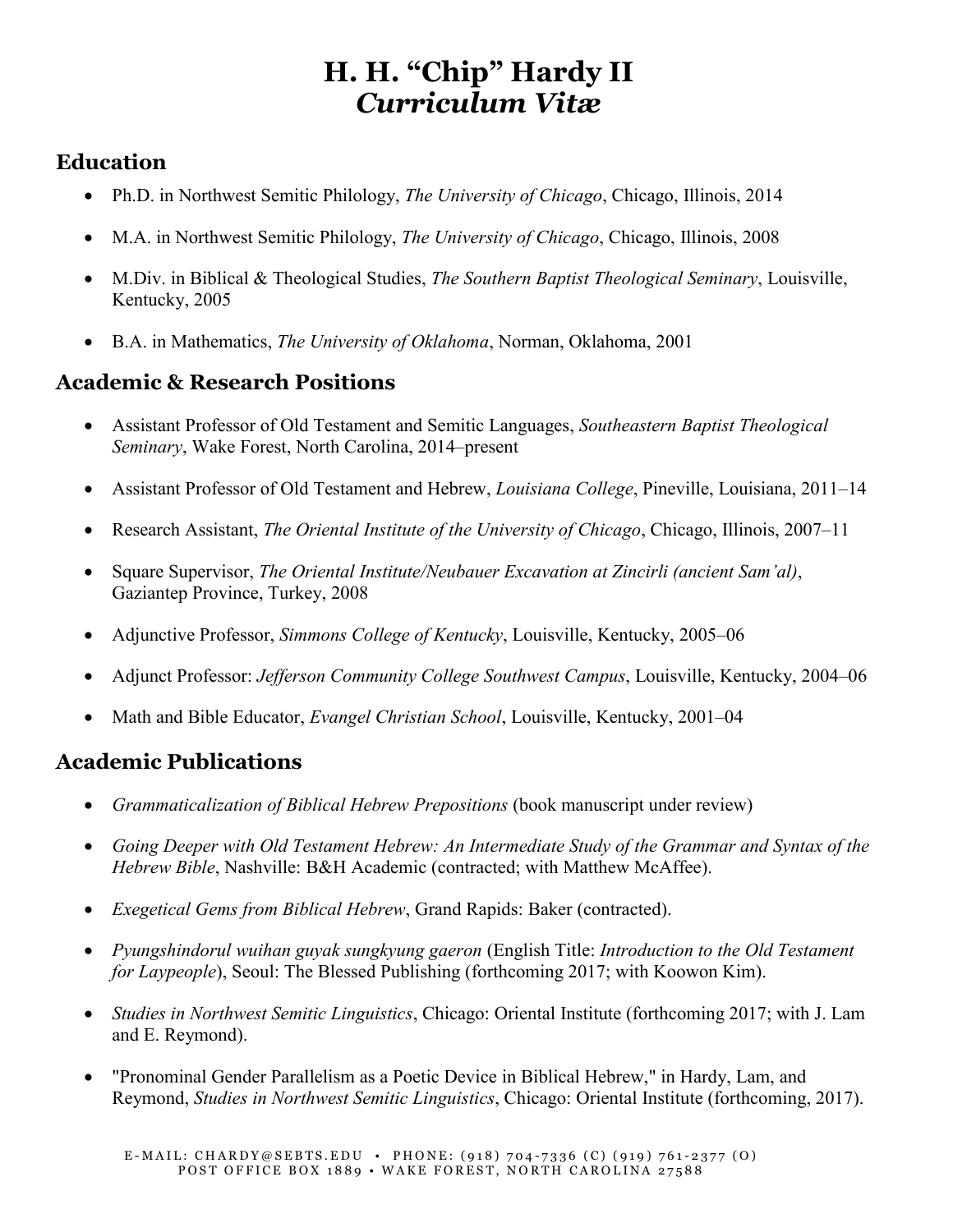# **H. H. "Chip" Hardy II** *Curriculum Vitæ*

#### **Education**

- Ph.D. in Northwest Semitic Philology, *The University of Chicago*, Chicago, Illinois, 2014
- M.A. in Northwest Semitic Philology, *The University of Chicago*, Chicago, Illinois, 2008
- M.Div. in Biblical & Theological Studies, *The Southern Baptist Theological Seminary*, Louisville, Kentucky, 2005
- B.A. in Mathematics, *The University of Oklahoma*, Norman, Oklahoma, 2001

## **Academic & Research Positions**

- Assistant Professor of Old Testament and Semitic Languages, *Southeastern Baptist Theological Seminary*, Wake Forest, North Carolina, 2014–present
- Assistant Professor of Old Testament and Hebrew, *Louisiana College*, Pineville, Louisiana, 2011–14
- Research Assistant, *The Oriental Institute of the University of Chicago*, Chicago, Illinois, 2007–11
- Square Supervisor, *The Oriental Institute/Neubauer Excavation at Zincirli (ancient Sam'al)*, Gaziantep Province, Turkey, 2008
- Adjunctive Professor, *Simmons College of Kentucky*, Louisville, Kentucky, 2005–06
- Adjunct Professor: *Jefferson Community College Southwest Campus*, Louisville, Kentucky, 2004–06
- Math and Bible Educator, *Evangel Christian School*, Louisville, Kentucky, 2001–04

#### **Academic Publications**

- *Grammaticalization of Biblical Hebrew Prepositions* (book manuscript under review)
- *Going Deeper with Old Testament Hebrew: An Intermediate Study of the Grammar and Syntax of the Hebrew Bible*, Nashville: B&H Academic (contracted; with Matthew McAffee).
- *Exegetical Gems from Biblical Hebrew*, Grand Rapids: Baker (contracted).
- *Pyungshindorul wuihan guyak sungkyung gaeron* (English Title: *Introduction to the Old Testament for Laypeople*), Seoul: The Blessed Publishing (forthcoming 2017; with Koowon Kim).
- *Studies in Northwest Semitic Linguistics*, Chicago: Oriental Institute (forthcoming 2017; with J. Lam and E. Reymond).
- "Pronominal Gender Parallelism as a Poetic Device in Biblical Hebrew," in Hardy, Lam, and Reymond, *Studies in Northwest Semitic Linguistics*, Chicago: Oriental Institute (forthcoming, 2017).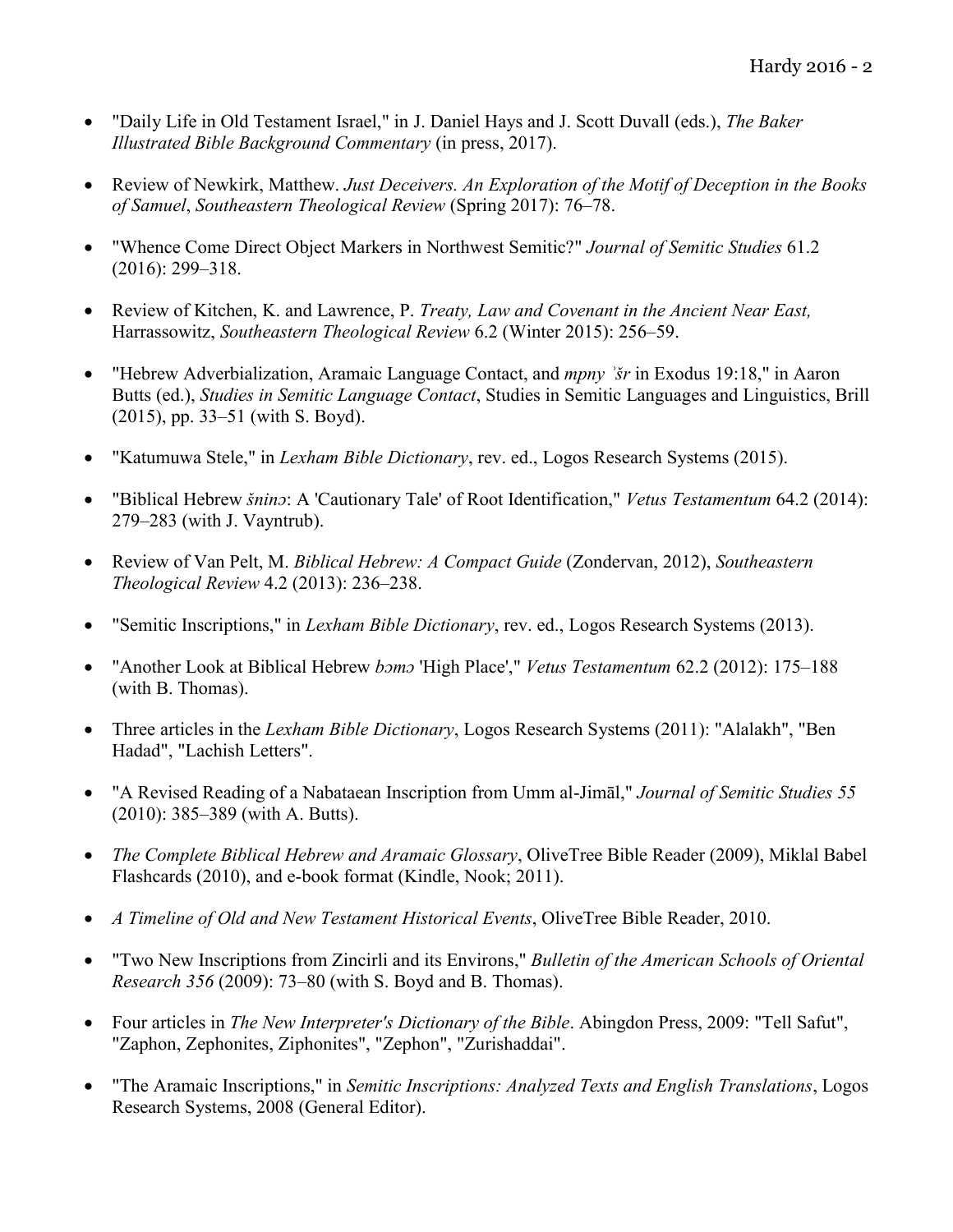- "Daily Life in Old Testament Israel," in J. Daniel Hays and J. Scott Duvall (eds.), *The Baker Illustrated Bible Background Commentary* (in press, 2017).
- Review of Newkirk, Matthew. *Just Deceivers. An Exploration of the Motif of Deception in the Books of Samuel*, *Southeastern Theological Review* (Spring 2017): 76–78.
- "Whence Come Direct Object Markers in Northwest Semitic?" *Journal of Semitic Studies* 61.2 (2016): 299–318.
- Review of Kitchen, K. and Lawrence, P. *Treaty, Law and Covenant in the Ancient Near East,*  Harrassowitz, *Southeastern Theological Review* 6.2 (Winter 2015): 256–59.
- "Hebrew Adverbialization, Aramaic Language Contact, and *mpny ʾšr* in Exodus 19:18," in Aaron Butts (ed.), *Studies in Semitic Language Contact*, Studies in Semitic Languages and Linguistics, Brill (2015), pp. 33–51 (with S. Boyd).
- "Katumuwa Stele," in *Lexham Bible Dictionary*, rev. ed., Logos Research Systems (2015).
- "Biblical Hebrew *šninɔ*: A 'Cautionary Tale' of Root Identification," *Vetus Testamentum* 64.2 (2014): 279–283 (with J. Vayntrub).
- Review of Van Pelt, M. *Biblical Hebrew: A Compact Guide* (Zondervan, 2012), *Southeastern Theological Review* 4.2 (2013): 236–238.
- "Semitic Inscriptions," in *Lexham Bible Dictionary*, rev. ed., Logos Research Systems (2013).
- "Another Look at Biblical Hebrew *bɔmɔ* 'High Place'," *Vetus Testamentum* 62.2 (2012): 175–188 (with B. Thomas).
- Three articles in the *Lexham Bible Dictionary*, Logos Research Systems (2011): "Alalakh", "Ben Hadad", "Lachish Letters".
- "A Revised Reading of a Nabataean Inscription from Umm al-Jimāl," *Journal of Semitic Studies 55* (2010): 385–389 (with A. Butts).
- *The Complete Biblical Hebrew and Aramaic Glossary*, OliveTree Bible Reader (2009), Miklal Babel Flashcards (2010), and e-book format (Kindle, Nook; 2011).
- *A Timeline of Old and New Testament Historical Events*, OliveTree Bible Reader, 2010.
- "Two New Inscriptions from Zincirli and its Environs," *Bulletin of the American Schools of Oriental Research 356* (2009): 73–80 (with S. Boyd and B. Thomas).
- Four articles in *The New Interpreter's Dictionary of the Bible*. Abingdon Press, 2009: "Tell Safut", "Zaphon, Zephonites, Ziphonites", "Zephon", "Zurishaddai".
- "The Aramaic Inscriptions," in *Semitic Inscriptions: Analyzed Texts and English Translations*, Logos Research Systems, 2008 (General Editor).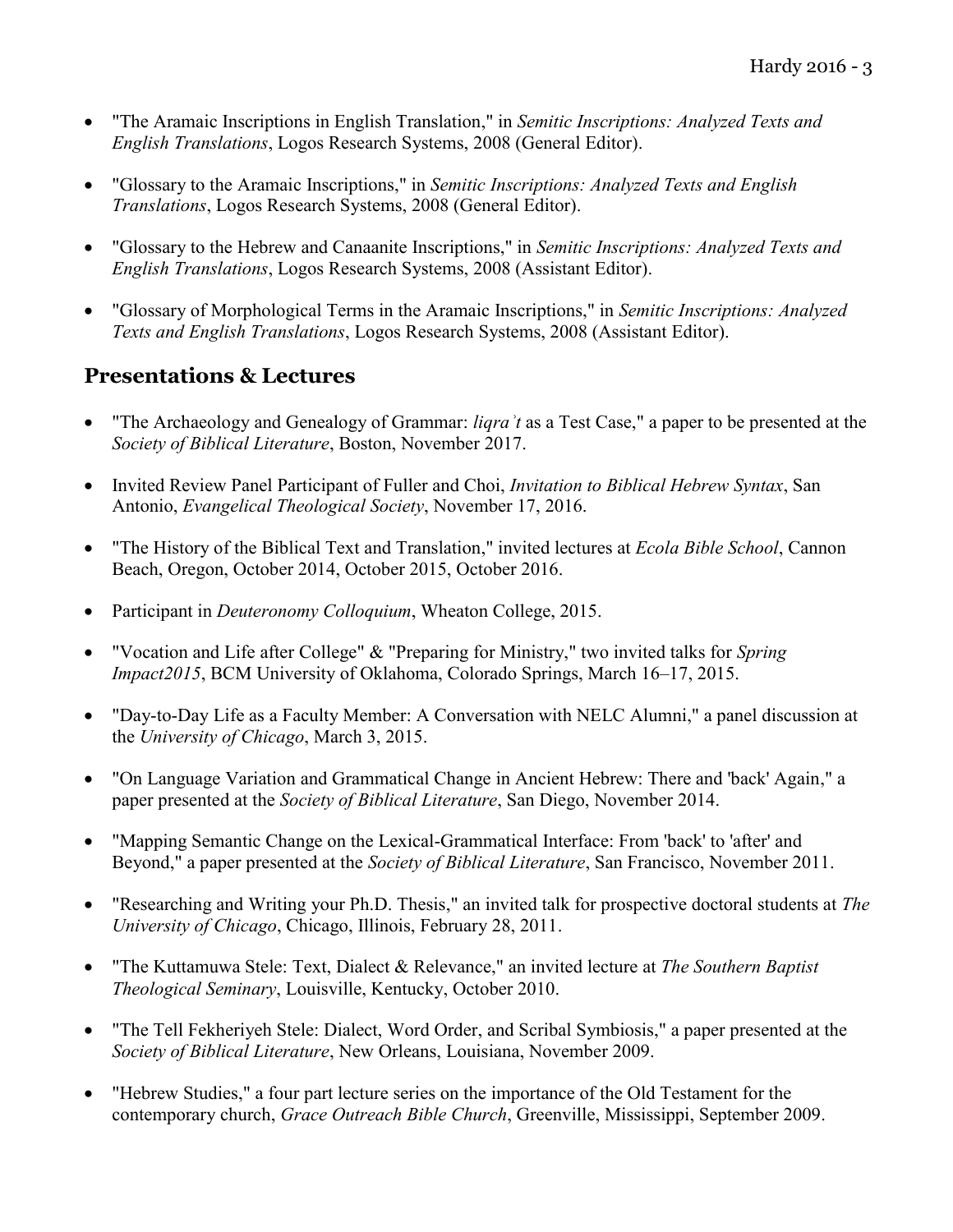- "The Aramaic Inscriptions in English Translation," in *Semitic Inscriptions: Analyzed Texts and English Translations*, Logos Research Systems, 2008 (General Editor).
- "Glossary to the Aramaic Inscriptions," in *Semitic Inscriptions: Analyzed Texts and English Translations*, Logos Research Systems, 2008 (General Editor).
- "Glossary to the Hebrew and Canaanite Inscriptions," in *Semitic Inscriptions: Analyzed Texts and English Translations*, Logos Research Systems, 2008 (Assistant Editor).
- "Glossary of Morphological Terms in the Aramaic Inscriptions," in *Semitic Inscriptions: Analyzed Texts and English Translations*, Logos Research Systems, 2008 (Assistant Editor).

#### **Presentations & Lectures**

- "The Archaeology and Genealogy of Grammar: *liqraʾt* as a Test Case," a paper to be presented at the *Society of Biblical Literature*, Boston, November 2017.
- Invited Review Panel Participant of Fuller and Choi, *Invitation to Biblical Hebrew Syntax*, San Antonio, *Evangelical Theological Society*, November 17, 2016.
- "The History of the Biblical Text and Translation," invited lectures at *Ecola Bible School*, Cannon Beach, Oregon, October 2014, October 2015, October 2016.
- Participant in *Deuteronomy Colloquium*, Wheaton College, 2015.
- "Vocation and Life after College" & "Preparing for Ministry," two invited talks for *Spring Impact2015*, BCM University of Oklahoma, Colorado Springs, March 16–17, 2015.
- "Day-to-Day Life as a Faculty Member: A Conversation with NELC Alumni," a panel discussion at the *University of Chicago*, March 3, 2015.
- "On Language Variation and Grammatical Change in Ancient Hebrew: There and 'back' Again," a paper presented at the *Society of Biblical Literature*, San Diego, November 2014.
- "Mapping Semantic Change on the Lexical-Grammatical Interface: From 'back' to 'after' and Beyond," a paper presented at the *Society of Biblical Literature*, San Francisco, November 2011.
- "Researching and Writing your Ph.D. Thesis," an invited talk for prospective doctoral students at *The University of Chicago*, Chicago, Illinois, February 28, 2011.
- "The Kuttamuwa Stele: Text, Dialect & Relevance," an invited lecture at *The Southern Baptist Theological Seminary*, Louisville, Kentucky, October 2010.
- "The Tell Fekheriyeh Stele: Dialect, Word Order, and Scribal Symbiosis," a paper presented at the *Society of Biblical Literature*, New Orleans, Louisiana, November 2009.
- "Hebrew Studies," a four part lecture series on the importance of the Old Testament for the contemporary church, *Grace Outreach Bible Church*, Greenville, Mississippi, September 2009.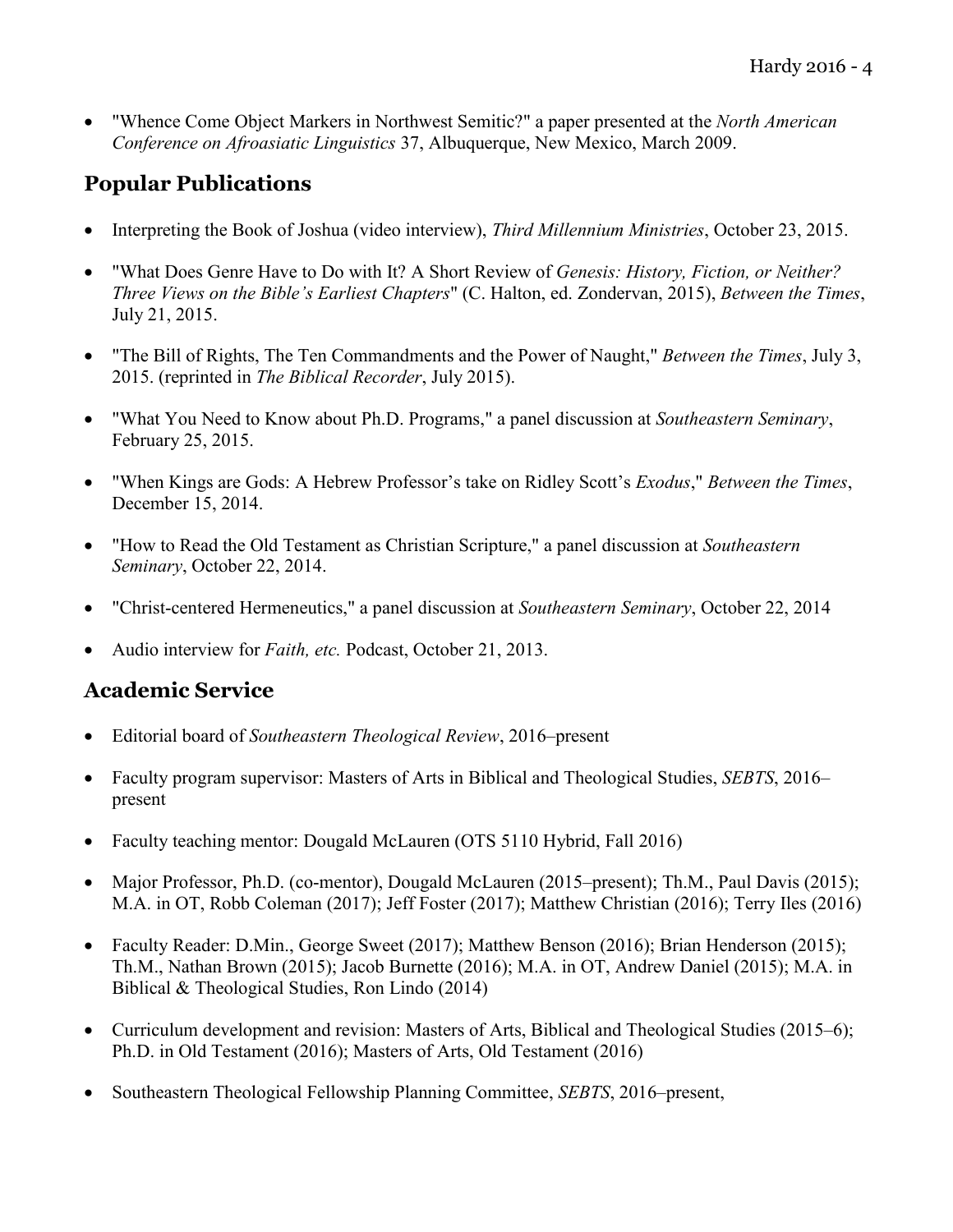"Whence Come Object Markers in Northwest Semitic?" a paper presented at the *North American Conference on Afroasiatic Linguistics* 37, Albuquerque, New Mexico, March 2009.

### **Popular Publications**

- Interpreting the Book of Joshua (video interview), *Third Millennium Ministries*, October 23, 2015.
- "What Does Genre Have to Do with It? A Short Review of *Genesis: History, Fiction, or Neither? Three Views on the Bible's Earliest Chapters*" (C. Halton, ed. Zondervan, 2015), *Between the Times*, July 21, 2015.
- "The Bill of Rights, The Ten Commandments and the Power of Naught," *Between the Times*, July 3, 2015. (reprinted in *The Biblical Recorder*, July 2015).
- "What You Need to Know about Ph.D. Programs," a panel discussion at *Southeastern Seminary*, February 25, 2015.
- "When Kings are Gods: A Hebrew Professor's take on Ridley Scott's *Exodus*," *Between the Times*, December 15, 2014.
- "How to Read the Old Testament as Christian Scripture," a panel discussion at *Southeastern Seminary*, October 22, 2014.
- "Christ-centered Hermeneutics," a panel discussion at *Southeastern Seminary*, October 22, 2014
- Audio interview for *Faith, etc.* Podcast, October 21, 2013.

#### **Academic Service**

- Editorial board of *Southeastern Theological Review*, 2016–present
- Faculty program supervisor: Masters of Arts in Biblical and Theological Studies, *SEBTS*, 2016– present
- Faculty teaching mentor: Dougald McLauren (OTS 5110 Hybrid, Fall 2016)
- Major Professor, Ph.D. (co-mentor), Dougald McLauren (2015–present); Th.M., Paul Davis (2015); M.A. in OT, Robb Coleman (2017); Jeff Foster (2017); Matthew Christian (2016); Terry Iles (2016)
- Faculty Reader: D.Min., George Sweet (2017); Matthew Benson (2016); Brian Henderson (2015); Th.M., Nathan Brown (2015); Jacob Burnette (2016); M.A. in OT, Andrew Daniel (2015); M.A. in Biblical & Theological Studies, Ron Lindo (2014)
- Curriculum development and revision: Masters of Arts, Biblical and Theological Studies (2015–6); Ph.D. in Old Testament (2016); Masters of Arts, Old Testament (2016)
- Southeastern Theological Fellowship Planning Committee, *SEBTS*, 2016–present,